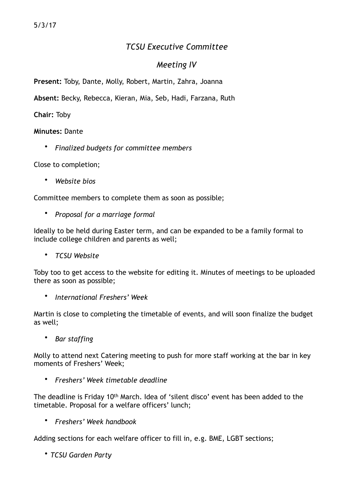# *TCSU Executive Committee*

## *Meeting IV*

**Present:** Toby, Dante, Molly, Robert, Martin, Zahra, Joanna

**Absent:** Becky, Rebecca, Kieran, Mia, Seb, Hadi, Farzana, Ruth

### **Chair:** Toby

#### **Minutes:** Dante

• *Finalized budgets for committee members* 

Close to completion;

• *Website bios*

Committee members to complete them as soon as possible;

• *Proposal for a marriage formal* 

Ideally to be held during Easter term, and can be expanded to be a family formal to include college children and parents as well;

• *TCSU Website* 

Toby too to get access to the website for editing it. Minutes of meetings to be uploaded there as soon as possible;

• *International Freshers' Week* 

Martin is close to completing the timetable of events, and will soon finalize the budget as well;

• *Bar staffing*

Molly to attend next Catering meeting to push for more staff working at the bar in key moments of Freshers' Week;

• *Freshers' Week timetable deadline* 

The deadline is Friday 10<sup>th</sup> March. Idea of 'silent disco' event has been added to the timetable. Proposal for a welfare officers' lunch;

• *Freshers' Week handbook*

Adding sections for each welfare officer to fill in, e.g. BME, LGBT sections;

• *TCSU Garden Party*